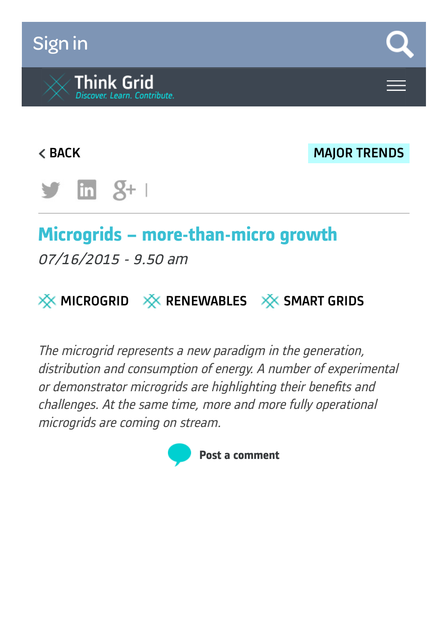# [Sign](https://www.think-grid.org/user/login) in



**EXECUTE: A SERVICE SERVICE SERVICE SERVICE SERVICE SERVICE SERVICE SERVICE SERVICE SERVICE SERVICE SERVICE SERVICE SERVICE SERVICE SERVICE SERVICE SERVICE SERVICE SERVICE SERVICE SERVICE SERVICE SERVICE SERVICE SERVICE SE** 



# **Microgrids – more-than-micro growth**

07/16/2015 - 9.50 am



The microgrid represents <sup>a</sup> new paradigm in the generation, distribution and consumption of energy. A number of experimental or demonstrator microgrids are highlighting their benefits and challenges. At the same time, more and more fully operational microgrids are coming on stream.

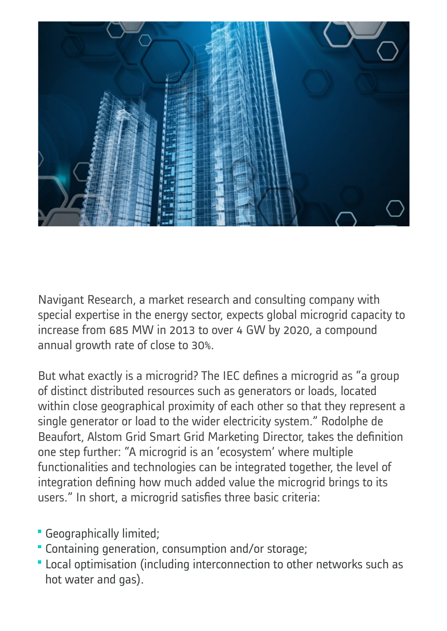

Navigant Research, a market research and consulting company with special expertise in the energy sector, expects global microgrid capacity to increase from 685 MW in 2013 to over 4 GW by 2020, a compound annual growth rate of close to 30%.

But what exactly is a microgrid? The IEC defines a microgrid as "a group of distinct distributed resources such as generators or loads, located within close geographical proximity of each other so that they represent a single generator or load to the wider electricity system." Rodolphe de Beaufort, Alstom Grid Smart Grid Marketing Director, takes the definition one step further: "A microgrid is an 'ecosystem' where multiple functionalities and technologies can be integrated together, the level of integration defining how much added value the microgrid brings to its users." In short, a microgrid satisfies three basic criteria:

- Geographically limited;
- Containing generation, consumption and/or storage;
- Local optimisation (including interconnection to other networks such as hot water and gas).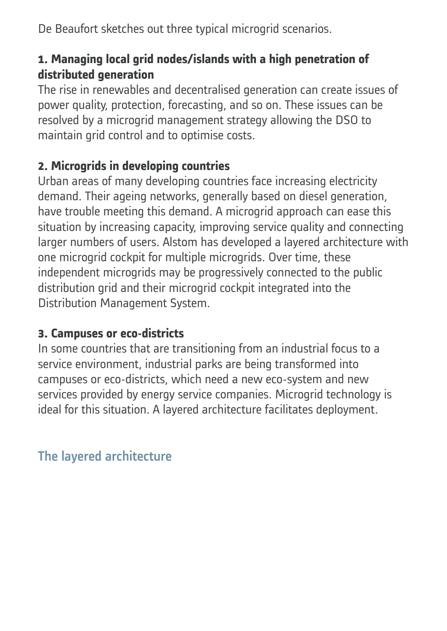De Beaufort sketches out three typical microgrid scenarios.

#### **1. Managing local grid nodes/islands with a high penetration of distributed generation**

The rise in renewables and decentralised generation can create issues of power quality, protection, forecasting, and so on. These issues can be resolved by a microgrid management strategy allowing the DSO to maintain grid control and to optimise costs.

#### **2. Microgrids in developing countries**

Urban areas of many developing countries face increasing electricity demand. Their ageing networks, generally based on diesel generation, have trouble meeting this demand. A microgrid approach can ease this situation by increasing capacity, improving service quality and connecting larger numbers of users. Alstom has developed a layered architecture with one microgrid cockpit for multiple microgrids. Over time, these independent microgrids may be progressively connected to the public distribution grid and their microgrid cockpit integrated into the Distribution Management System.

#### **3. Campuses or eco-districts**

In some countries that are transitioning from an industrial focus to a service environment, industrial parks are being transformed into campuses or eco-districts, which need a new eco-system and new services provided by energy service companies. Microgrid technology is ideal for this situation. A layered architecture facilitates deployment.

The layered architecture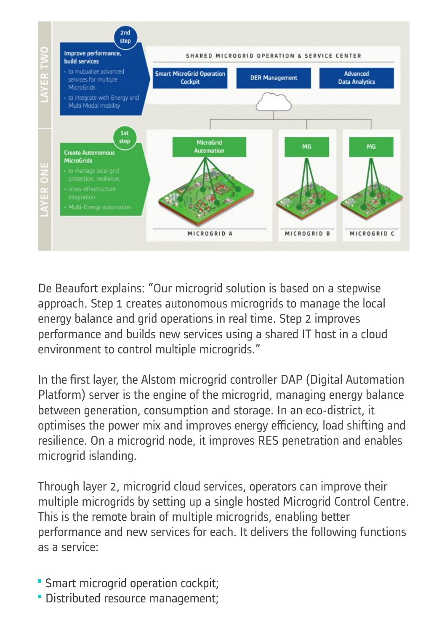

De Beaufort explains: "Our microgrid solution is based on a stepwise approach. Step 1 creates autonomous microgrids to manage the local energy balance and grid operations in real time. Step 2 improves performance and builds new services using a shared IT host in a cloud environment to control multiple microgrids."

In the first layer, the Alstom microgrid controller DAP (Digital Automation Platform) server is the engine of the microgrid, managing energy balance between generation, consumption and storage. In an eco-district, it optimises the power mix and improves energy efficiency, load shifting and resilience. On a microgrid node, it improves RES penetration and enables microgrid islanding.

Through layer 2, microgrid cloud services, operators can improve their multiple microgrids by setting up a single hosted Microgrid Control Centre. This is the remote brain of multiple microgrids, enabling better performance and new services for each. It delivers the following functions as a service:

- **Smart microgrid operation cockpit;**
- Distributed resource management;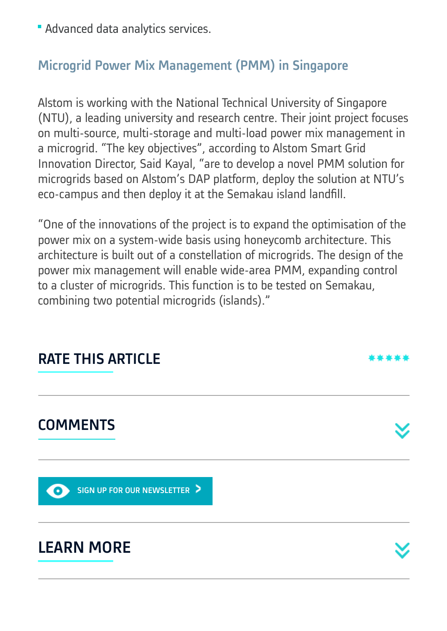Advanced data analytics services.

### Microgrid Power Mix Management (PMM) in Singapore

Alstom is working with the National Technical University of Singapore (NTU), a leading university and research centre. Their joint project focuses on multi-source, multi-storage and multi-load power mix management in a microgrid. "The key objectives", according to Alstom Smart Grid Innovation Director, Said Kayal, "are to develop a novel PMM solution for microgrids based on Alstom's DAP platform, deploy the solution at NTU's eco-campus and then deploy it at the Semakau island landfill.

"One of the innovations of the project is to expand the optimisation of the power mix on a system-wide basis using honeycomb architecture. This architecture is built out of a constellation of microgrids. The design of the power mix management will enable wide-area PMM, expanding control to a cluster of microgrids. This function is to be tested on Semakau, combining two potential microgrids (islands)."